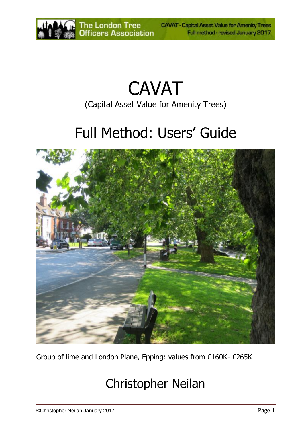

# CAVAT (Capital Asset Value for Amenity Trees)

# Full Method: Users' Guide



Group of lime and London Plane, Epping: values from £160K- £265K

# Christopher Neilan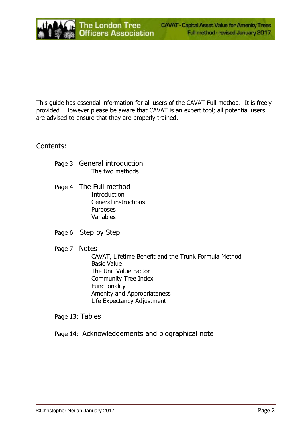This guide has essential information for all users of the CAVAT Full method. It is freely provided. However please be aware that CAVAT is an expert tool; all potential users are advised to ensure that they are properly trained.

Contents:

- Page 3: General introduction The two methods
- Page 4: The Full method **Introduction** General instructions **Purposes** Variables
- Page 6: Step by Step
- Page 7: Notes

CAVAT, Lifetime Benefit and the Trunk Formula Method Basic Value The Unit Value Factor Community Tree Index **Functionality** Amenity and Appropriateness Life Expectancy Adjustment

Page 13: Tables

Page 14: Acknowledgements and biographical note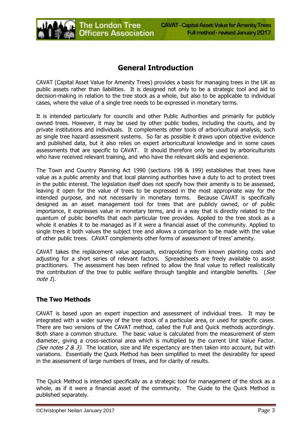

# **General Introduction**

CAVAT (Capital Asset Value for Amenity Trees) provides a basis for managing trees in the UK as public assets rather than liabilities. It is designed not only to be a strategic tool and aid to decision-making in relation to the tree stock as a whole, but also to be applicable to individual cases, where the value of a single tree needs to be expressed in monetary terms.

It is intended particularly for councils and other Public Authorities and primarily for publicly owned trees. However, it may be used by other public bodies, including the courts, and by private institutions and individuals. It complements other tools of arboricultural analysis, such as single tree hazard assessment systems. So far as possible it draws upon objective evidence and published data, but it also relies on expert arboricultural knowledge and in some cases assessments that are specific to CAVAT. It should therefore only be used by arboriculturists who have received relevant training, and who have the relevant skills and experience.

The Town and Country Planning Act 1990 (sections 198 & 199) establishes that trees have value as a public amenity and that local planning authorities have a duty to act to protect trees in the public interest. The legislation itself does not specify how their amenity is to be assessed, leaving it open for the value of trees to be expressed in the most appropriate way for the intended purpose, and not necessarily in monetary terms. Because CAVAT is specifically designed as an asset management tool for trees that are publicly owned, or of public importance, it expresses value in monetary terms, and in a way that is directly related to the quantum of public benefits that each particular tree provides. Applied to the tree stock as a whole it enables it to be managed as if it were a financial asset of the community. Applied to single trees it both values the subject tree and allows a comparison to be made with the value of other public trees. CAVAT complements other forms of assessment of trees' amenity.

CAVAT takes the replacement value approach, extrapolating from known planting costs and adjusting for a short series of relevant factors. Spreadsheets are freely available to assist practitioners. The assessment has been refined to allow the final value to reflect realistically the contribution of the tree to public welfare through tangible and intangible benefits. (See note 1).

#### **The Two Methods**

CAVAT is based upon an expert inspection and assessment of individual trees. It may be integrated with a wider survey of the tree stock of a particular area, or used for specific cases. There are two versions of the CAVAT method, called the Full and Quick methods accordingly. Both share a common structure. The basic value is calculated from the measurement of stem diameter, giving a cross-sectional area which is multiplied by the current Unit Value Factor. (See notes 2 & 3). The location, size and life expectancy are then taken into account, but with variations. Essentially the Quick Method has been simplified to meet the desirability for speed in the assessment of large numbers of trees, and for clarity of results.

The Quick Method is intended specifically as a strategic tool for management of the stock as a whole, as if it were a financial asset of the community. The Guide to the Quick Method is published separately.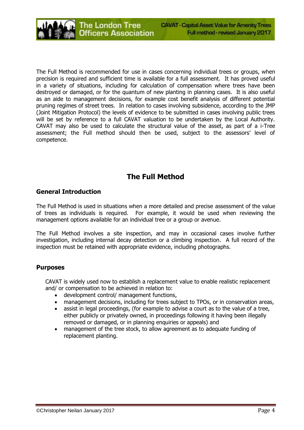The Full Method is recommended for use in cases concerning individual trees or groups, when precision is required and sufficient time is available for a full assessment. It has proved useful in a variety of situations, including for calculation of compensation where trees have been destroyed or damaged, or for the quantum of new planting in planning cases. It is also useful as an aide to management decisions, for example cost benefit analysis of different potential pruning regimes of street trees. In relation to cases involving subsidence, according to the JMP (Joint Mitigation Protocol) the levels of evidence to be submitted in cases involving public trees will be set by reference to a full CAVAT valuation to be undertaken by the Local Authority. CAVAT may also be used to calculate the structural value of the asset, as part of a i-Tree assessment; the Full method should then be used, subject to the assessors' level of competence.

# **The Full Method**

#### **General Introduction**

The Full Method is used in situations when a more detailed and precise assessment of the value of trees as individuals is required. For example, it would be used when reviewing the management options available for an individual tree or a group or avenue.

The Full Method involves a site inspection, and may in occasional cases involve further investigation, including internal decay detection or a climbing inspection. A full record of the inspection must be retained with appropriate evidence, including photographs.

#### **Purposes**

CAVAT is widely used now to establish a replacement value to enable realistic replacement and/ or compensation to be achieved in relation to:

- development control/ management functions,
- management decisions, including for trees subject to TPOs, or in conservation areas,
- assist in legal proceedings, (for example to advise a court as to the value of a tree, either publicly or privately owned, in proceedings following it having been illegally removed or damaged, or in planning enquiries or appeals) and
- management of the tree stock, to allow agreement as to adequate funding of replacement planting.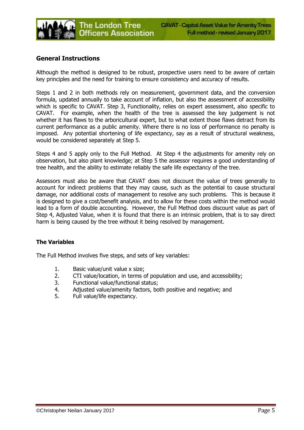

#### **General Instructions**

Although the method is designed to be robust, prospective users need to be aware of certain key principles and the need for training to ensure consistency and accuracy of results.

Steps 1 and 2 in both methods rely on measurement, government data, and the conversion formula, updated annually to take account of inflation, but also the assessment of accessibility which is specific to CAVAT. Step 3, Functionality, relies on expert assessment, also specific to CAVAT. For example, when the health of the tree is assessed the key judgement is not whether it has flaws to the arboricultural expert, but to what extent those flaws detract from its current performance as a public amenity. Where there is no loss of performance no penalty is imposed. Any potential shortening of life expectancy, say as a result of structural weakness, would be considered separately at Step 5.

Steps 4 and 5 apply only to the Full Method. At Step 4 the adjustments for amenity rely on observation, but also plant knowledge; at Step 5 the assessor requires a good understanding of tree health, and the ability to estimate reliably the safe life expectancy of the tree.

Assessors must also be aware that CAVAT does not discount the value of trees generally to account for indirect problems that they may cause, such as the potential to cause structural damage, nor additional costs of management to resolve any such problems. This is because it is designed to give a cost/benefit analysis, and to allow for these costs within the method would lead to a form of double accounting. However, the Full Method does discount value as part of Step 4, Adjusted Value, when it is found that there is an intrinsic problem, that is to say direct harm is being caused by the tree without it being resolved by management.

#### **The Variables**

The Full Method involves five steps, and sets of key variables:

- 1. Basic value/unit value x size;
- 2. CTI value/location, in terms of population and use, and accessibility;
- 3. Functional value/functional status;
- 4. Adjusted value/amenity factors, both positive and negative; and
- 5. Full value/life expectancy.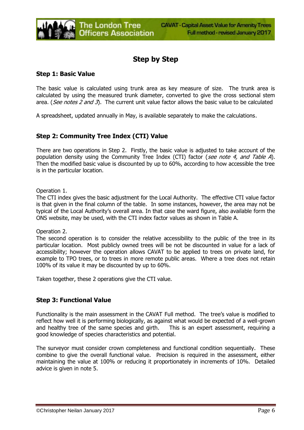# **Step by Step**

#### **Step 1: Basic Value**

The basic value is calculated using trunk area as key measure of size. The trunk area is calculated by using the measured trunk diameter, converted to give the cross sectional stem area. (See notes 2 and 3). The current unit value factor allows the basic value to be calculated

A spreadsheet, updated annually in May, is available separately to make the calculations.

### **Step 2: Community Tree Index (CTI) Value**

There are two operations in Step 2. Firstly, the basic value is adjusted to take account of the population density using the Community Tree Index (CTI) factor (see note 4, and Table A). Then the modified basic value is discounted by up to 60%, according to how accessible the tree is in the particular location.

Operation 1.

The CTI index gives the basic adjustment for the Local Authority. The effective CTI value factor is that given in the final column of the table. In some instances, however, the area may not be typical of the Local Authority's overall area. In that case the ward figure, also available form the ONS website, may be used, with the CTI index factor values as shown in Table A.

Operation 2.

The second operation is to consider the relative accessibility to the public of the tree in its particular location. Most publicly owned trees will be not be discounted in value for a lack of accessibility; however the operation allows CAVAT to be applied to trees on private land, for example to TPO trees, or to trees in more remote public areas. Where a tree does not retain 100% of its value it may be discounted by up to 60%.

Taken together, these 2 operations give the CTI value.

#### **Step 3: Functional Value**

Functionality is the main assessment in the CAVAT Full method. The tree's value is modified to reflect how well it is performing biologically, as against what would be expected of a well-grown and healthy tree of the same species and girth. This is an expert assessment, requiring a good knowledge of species characteristics and potential.

The surveyor must consider crown completeness and functional condition sequentially. These combine to give the overall functional value. Precision is required in the assessment, either maintaining the value at 100% or reducing it proportionately in increments of 10%. Detailed advice is given in note 5.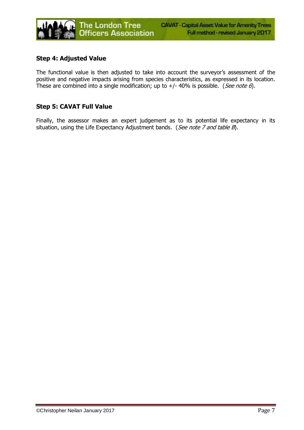

#### **Step 4: Adjusted Value**

The functional value is then adjusted to take into account the surveyor's assessment of the positive and negative impacts arising from species characteristics, as expressed in its location. These are combined into a single modification; up to  $+/-$  40% is possible. (*See note 6*).

#### **Step 5: CAVAT Full Value**

Finally, the assessor makes an expert judgement as to its potential life expectancy in its situation, using the Life Expectancy Adjustment bands. (See note 7 and table  $B$ ).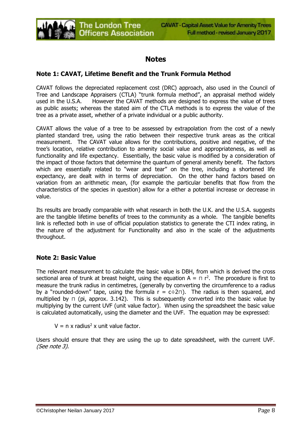# **Notes**

#### **Note 1: CAVAT, Lifetime Benefit and the Trunk Formula Method**

CAVAT follows the depreciated replacement cost (DRC) approach, also used in the Council of Tree and Landscape Appraisers (CTLA) "trunk formula method", an appraisal method widely used in the U.S.A. However the CAVAT methods are designed to express the value of trees as public assets; whereas the stated aim of the CTLA methods is to express the value of the tree as a private asset, whether of a private individual or a public authority.

CAVAT allows the value of a tree to be assessed by extrapolation from the cost of a newly planted standard tree, using the ratio between their respective trunk areas as the critical measurement. The CAVAT value allows for the contributions, positive and negative, of the tree's location, relative contribution to amenity social value and appropriateness, as well as functionality and life expectancy. Essentially, the basic value is modified by a consideration of the impact of those factors that determine the quantum of general amenity benefit. The factors which are essentially related to "wear and tear" on the tree, including a shortened life expectancy, are dealt with in terms of depreciation. On the other hand factors based on variation from an arithmetic mean, (for example the particular benefits that flow from the characteristics of the species in question) allow for a either a potential increase or decrease in value.

Its results are broadly comparable with what research in both the U.K. and the U.S.A. suggests are the tangible lifetime benefits of trees to the community as a whole. The tangible benefits link is reflected both in use of official population statistics to generate the CTI index rating, in the nature of the adjustment for Functionality and also in the scale of the adjustments throughout.

#### **Note 2: Basic Value**

The relevant measurement to calculate the basic value is DBH, from which is derived the cross sectional area of trunk at breast height, using the equation  $A = \pi r^2$ . The procedure is first to measure the trunk radius in centimetres, (generally by converting the circumference to a radius by a "rounded-down" tape, using the formula  $r = c \div 2\pi$ ). The radius is then squared, and multiplied by ⊓ (pi, approx. 3.142). This is subsequently converted into the basic value by multiplying by the current UVF (unit value factor). When using the spreadsheet the basic value is calculated automatically, using the diameter and the UVF. The equation may be expressed:

 $V = n \times$  radius<sup>2</sup> x unit value factor.

Users should ensure that they are using the up to date spreadsheet, with the current UVF. (See note 3).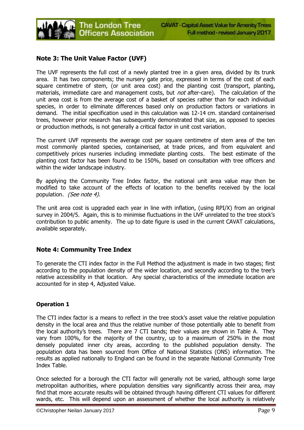

#### **Note 3: The Unit Value Factor (UVF)**

The UVF represents the full cost of a newly planted tree in a given area, divided by its trunk area. It has two components; the nursery gate price, expressed in terms of the cost of each square centimetre of stem, (or unit area cost) and the planting cost (transport, planting, materials, immediate care and management costs, but *not* after-care). The calculation of the unit area cost is from the average cost of a basket of species rather than for each individual species, in order to eliminate differences based only on production factors or variations in demand. The initial specification used in this calculation was 12-14 cm. standard containerised trees, however prior research has subsequently demonstrated that size, as opposed to species or production methods, is not generally a critical factor in unit cost variation.

The current UVF represents the average cost per square centimetre of stem area of the ten most commonly planted species, containerised, at trade prices, and from equivalent and competitively prices nurseries including immediate planting costs. The best estimate of the planting cost factor has been found to be 150%, based on consultation with tree officers and within the wider landscape industry.

By applying the Community Tree Index factor, the national unit area value may then be modified to take account of the effects of location to the benefits received by the local population. (See note 4).

The unit area cost is upgraded each year in line with inflation, (using RPI/X) from an original survey in 2004/5. Again, this is to minimise fluctuations in the UVF unrelated to the tree stock's contribution to public amenity. The up to date figure is used in the current CAVAT calculations, available separately.

#### **Note 4: Community Tree Index**

To generate the CTI index factor in the Full Method the adjustment is made in two stages; first according to the population density of the wider location, and secondly according to the tree's relative accessibility in that location. Any special characteristics of the immediate location are accounted for in step 4, Adjusted Value.

#### **Operation 1**

The CTI index factor is a means to reflect in the tree stock's asset value the relative population density in the local area and thus the relative number of those potentially able to benefit from the local authority's trees. There are 7 CTI bands; their values are shown in Table A. They vary from 100%, for the majority of the country, up to a maximum of 250% in the most densely populated inner city areas, according to the published population density. The population data has been sourced from Office of National Statistics (ONS) information. The results as applied nationally to England can be found in the separate National Community Tree Index Table.

Once selected for a borough the CTI factor will generally not be varied, although some large metropolitan authorities, where population densities vary significantly across their area, may find that more accurate results will be obtained through having different CTI values for different wards, etc. This will depend upon an assessment of whether the local authority is relatively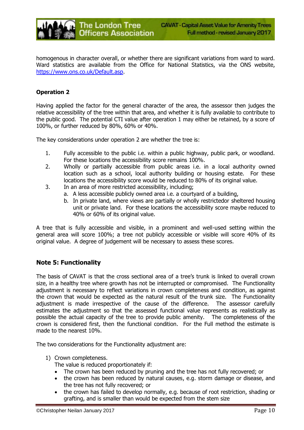

homogenous in character overall, or whether there are significant variations from ward to ward. Ward statistics are available from the Office for National Statistics, via the ONS website, [https://www.ons.co.uk/Default.asp.](https://www.ons.co.uk/Default.asp)

#### **Operation 2**

Having applied the factor for the general character of the area, the assessor then judges the relative accessibility of the tree within that area, and whether it is fully available to contribute to the public good. The potential CTI value after operation 1 may either be retained, by a score of 100%, or further reduced by 80%, 60% or 40%.

The key considerations under operation 2 are whether the tree is:

- 1. Fully accessible to the public i.e. within a public highway, public park, or woodland. For these locations the accessibility score remains 100%.
- 2. Wholly or partially accessible from public areas i.e. in a local authority owned location such as a school, local authority building or housing estate. For these locations the accessibility score would be reduced to 80% of its original value.
- 3. In an area of more restricted accessibility, including;
	- a. A less accessible publicly owned area i.e. a courtyard of a building,
	- b. In private land, where views are partially or wholly restrictedor sheltered housing unit or private land. For these locations the accessibility score maybe reduced to 40% or 60% of its original value.

A tree that is fully accessible and visible, in a prominent and well-used setting within the general area will score 100%; a tree not publicly accessible or visible will score 40% of its original value. A degree of judgement will be necessary to assess these scores.

#### **Note 5: Functionality**

The basis of CAVAT is that the cross sectional area of a tree's trunk is linked to overall crown size, in a healthy tree where growth has not be interrupted or compromised. The Functionality adjustment is necessary to reflect variations in crown completeness and condition, as against the crown that would be expected as the natural result of the trunk size. The Functionality adjustment is made irrespective of the cause of the difference. The assessor carefully estimates the adjustment so that the assessed functional value represents as realistically as possible the actual capacity of the tree to provide public amenity. The completeness of the crown is considered first, then the functional condition. For the Full method the estimate is made to the nearest 10%.

The two considerations for the Functionality adjustment are:

- 1) Crown completeness.
	- The value is reduced proportionately if:
	- The crown has been reduced by pruning and the tree has not fully recovered; or
	- the crown has been reduced by natural causes, e.g. storm damage or disease, and the tree has not fully recovered; or
	- the crown has failed to develop normally, e.g. because of root restriction, shading or grafting, and is smaller than would be expected from the stem size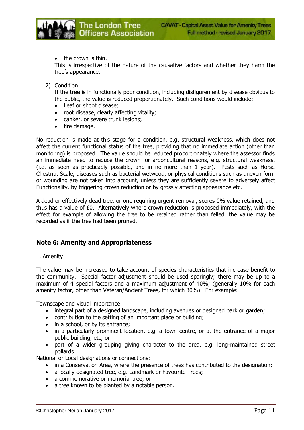• the crown is thin.

This is irrespective of the nature of the causative factors and whether they harm the tree's appearance.

2) Condition.

If the tree is in functionally poor condition, including disfigurement by disease obvious to the public, the value is reduced proportionately. Such conditions would include:

- Leaf or shoot disease:
- root disease, clearly affecting vitality;

**The London Tree** 

**Officers Association** 

- canker, or severe trunk lesions;
- fire damage.

No reduction is made at this stage for a condition, e.g. structural weakness, which does not affect the current functional status of the tree, providing that no immediate action (other than monitoring) is proposed. The value should be reduced proportionately where the assessor finds an immediate need to reduce the crown for arboricultural reasons, e.g. structural weakness, (i.e. as soon as practicably possible, and in no more than 1 year). Pests such as Horse Chestnut Scale, diseases such as bacterial wetwood, or physical conditions such as uneven form or wounding are not taken into account, unless they are sufficiently severe to adversely affect Functionality, by triggering crown reduction or by grossly affecting appearance etc.

A dead or effectively dead tree, or one requiring urgent removal, scores 0% value retained, and thus has a value of £0. Alternatively where crown reduction is proposed immediately, with the effect for example of allowing the tree to be retained rather than felled, the value may be recorded as if the tree had been pruned.

#### **Note 6: Amenity and Appropriateness**

#### 1. Amenity

The value may be increased to take account of species characteristics that increase benefit to the community. Special factor adjustment should be used sparingly; there may be up to a maximum of 4 special factors and a maximum adjustment of 40%; (generally 10% for each amenity factor, other than Veteran/Ancient Trees, for which 30%). For example:

Townscape and visual importance:

- integral part of a designed landscape, including avenues or designed park or garden;
- contribution to the setting of an important place or building;
- in a school, or by its entrance;
- in a particularly prominent location, e.g. a town centre, or at the entrance of a major public building, etc; or
- part of a wider grouping giving character to the area, e.g. long-maintained street pollards.

National or Local designations or connections:

- in a Conservation Area, where the presence of trees has contributed to the designation;
- a locally designated tree, e.g. Landmark or Favourite Trees;
- a commemorative or memorial tree; or
- a tree known to be planted by a notable person.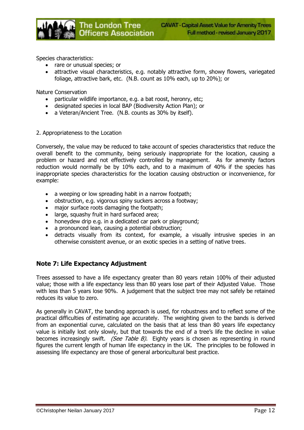Species characteristics:

- rare or unusual species; or
- attractive visual characteristics, e.g. notably attractive form, showy flowers, variegated foliage, attractive bark, etc. (N.B. count as 10% each, up to 20%); or

Nature Conservation

- particular wildlife importance, e.g. a bat roost, heronry, etc;
- designated species in local BAP (Biodiversity Action Plan); or
- a Veteran/Ancient Tree. (N.B. counts as 30% by itself).

The London Tree

**Officers Association** 

#### 2. Appropriateness to the Location

Conversely, the value may be reduced to take account of species characteristics that reduce the overall benefit to the community, being seriously inappropriate for the location, causing a problem or hazard and not effectively controlled by management. As for amenity factors reduction would normally be by 10% each, and to a maximum of 40% if the species has inappropriate species characteristics for the location causing obstruction or inconvenience, for example:

- a weeping or low spreading habit in a narrow footpath;
- obstruction, e.g. vigorous spiny suckers across a footway;
- major surface roots damaging the footpath:
- large, squashy fruit in hard surfaced area;
- honeydew drip e.g. in a dedicated car park or playground:
- a pronounced lean, causing a potential obstruction;
- detracts visually from its context, for example, a visually intrusive species in an otherwise consistent avenue, or an exotic species in a setting of native trees.

#### **Note 7: Life Expectancy Adjustment**

Trees assessed to have a life expectancy greater than 80 years retain 100% of their adjusted value; those with a life expectancy less than 80 years lose part of their Adjusted Value. Those with less than 5 years lose 90%. A judgement that the subject tree may not safely be retained reduces its value to zero.

As generally in CAVAT, the banding approach is used, for robustness and to reflect some of the practical difficulties of estimating age accurately. The weighting given to the bands is derived from an exponential curve, calculated on the basis that at less than 80 years life expectancy value is initially lost only slowly, but that towards the end of a tree's life the decline in value becomes increasingly swift. (See Table B). Eighty years is chosen as representing in round figures the current length of human life expectancy in the UK. The principles to be followed in assessing life expectancy are those of general arboricultural best practice.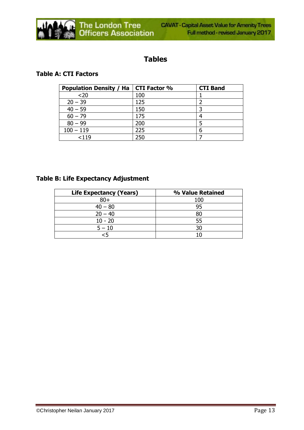

# **Tables**

#### **Table A: CTI Factors**

| <b>Population Density / Ha   CTI Factor %</b> |     | <b>CTI Band</b> |
|-----------------------------------------------|-----|-----------------|
| $20$                                          | 100 |                 |
| $20 - 39$                                     | 125 |                 |
| $40 - 59$                                     | 150 |                 |
| $60 - 79$                                     | 175 |                 |
| $80 - 99$                                     | 200 |                 |
| $100 - 119$                                   | 225 | 6               |
| < 119                                         | 250 |                 |

### **Table B: Life Expectancy Adjustment**

| <b>Life Expectancy (Years)</b> | % Value Retained |
|--------------------------------|------------------|
| $80 +$                         | 100              |
| $40 - 80$                      | 95               |
| $20 - 40$                      |                  |
| $10 - 20$                      | 55               |
| $5 - 10$                       |                  |
| -5                             |                  |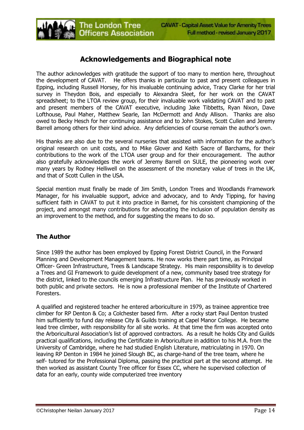# **Acknowledgements and Biographical note**

**The London Tree** 

**Officers Association** 

The author acknowledges with gratitude the support of too many to mention here, throughout the development of CAVAT. He offers thanks in particular to past and present colleagues in Epping, including Russell Horsey, for his invaluable continuing advice, Tracy Clarke for her trial survey in Theydon Bois, and especially to Alexandra Sleet, for her work on the CAVAT spreadsheet; to the LTOA review group, for their invaluable work validating CAVAT and to past and present members of the CAVAT executive, including Jake Tibbetts, Ryan Nixon, Dave Lofthouse, Paul Maher, Matthew Searle, Ian McDermott and Andy Allison. Thanks are also owed to Becky Hesch for her continuing assistance and to John Stokes, Scott Cullen and Jeremy Barrell among others for their kind advice. Any deficiencies of course remain the author's own.

His thanks are also due to the several nurseries that assisted with information for the author's original research on unit costs, and to Mike Glover and Keith Sacre of Barchams, for their contributions to the work of the LTOA user group and for their encouragement. The author also gratefully acknowledges the work of Jeremy Barrell on SULE, the pioneering work over many years by Rodney Helliwell on the assessment of the monetary value of trees in the UK, and that of Scott Cullen in the USA.

Special mention must finally be made of Jim Smith, London Trees and Woodlands Framework Manager, for his invaluable support, advice and advocacy, and to Andy Tipping, for having sufficient faith in CAVAT to put it into practice in Barnet, for his consistent championing of the project, and amongst many contributions for advocating the inclusion of population density as an improvement to the method, and for suggesting the means to do so.

#### **The Author**

Since 1989 the author has been employed by Epping Forest District Council, in the Forward Planning and Development Management teams. He now works there part time, as Principal Officer- Green Infrastructure, Trees & Landscape Strategy. His main responsibility is to develop a Trees and GI Framework to guide development of a new, community based tree strategy for the district, linked to the councils emerging Infrastructure Plan. He has previously worked in both public and private sectors. He is now a professional member of the Institute of Chartered Foresters.

A qualified and registered teacher he entered arboriculture in 1979, as trainee apprentice tree climber for RP Denton & Co; a Colchester based firm. After a rocky start Paul Denton trusted him sufficiently to fund day release City & Guilds training at Capel Manor College. He became lead tree climber, with responsibility for all site works. At that time the firm was accepted onto the Arboricultural Association's list of approved contractors. As a result he holds City and Guilds practical qualifications, including the Certificate in Arboriculture in addition to his M.A. from the University of Cambridge, where he had studied English Literature, matriculating in 1970. On leaving RP Denton in 1984 he joined Slough BC, as charge-hand of the tree team, where he self- tutored for the Professional Diploma, passing the practical part at the second attempt. He then worked as assistant County Tree officer for Essex CC, where he supervised collection of data for an early, county wide computerized tree inventory